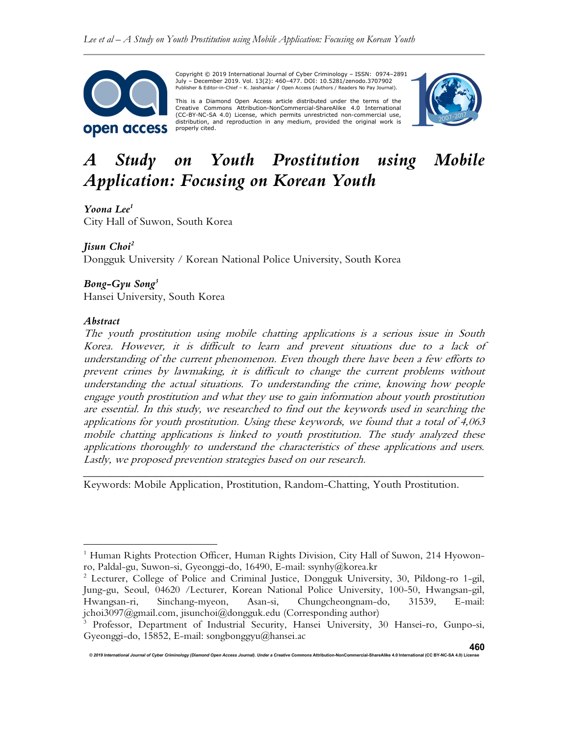

Copyright © 2019 International Journal of Cyber Criminology – ISSN: 0974–2891 July – December 2019. Vol. 13(2): 460–477. DOI: 10.5281/zenodo.3707902 Publisher & Editor-in-Chief – K. Jaishankar / Open Access (Authors / Readers No Pay Journal).

This is a Diamond Open Access article distributed under the terms of the Creative Commons Attribution-NonCommercial-ShareAlike 4.0 International (CC-BY-NC-SA 4.0) License, which permits unrestricted non-commercial use, distribution, and reproduction in any medium, provided the original work is properly cited.



# A Study on Youth Prostitution using Mobile Application: Focusing on Korean Youth

Yoona Lee<sup>1</sup> City Hall of Suwon, South Korea

## Jisun Choi<sup>2</sup>

Dongguk University / Korean National Police University, South Korea

## $B$ ong-Gyu Song<sup>3</sup>

Hansei University, South Korea

## Abstract

The youth prostitution using mobile chatting applications is a serious issue in South Korea. However, it is difficult to learn and prevent situations due to a lack of understanding of the current phenomenon. Even though there have been a few efforts to prevent crimes by lawmaking, it is difficult to change the current problems without understanding the actual situations. To understanding the crime, knowing how people engage youth prostitution and what they use to gain information about youth prostitution are essential. In this study, we researched to find out the keywords used in searching the applications for youth prostitution. Using these keywords, we found that a total of 4,063 mobile chatting applications is linked to youth prostitution. The study analyzed these applications thoroughly to understand the characteristics of these applications and users. Lastly, we proposed prevention strategies based on our research.

\_\_\_\_\_\_\_\_\_\_\_\_\_\_\_\_\_\_\_\_\_\_\_\_\_\_\_\_\_\_\_\_\_\_\_\_\_\_\_\_\_\_\_\_\_\_\_\_\_\_\_\_\_\_\_\_\_\_\_\_\_\_\_\_\_\_\_\_\_\_\_\_

Keywords: Mobile Application, Prostitution, Random-Chatting, Youth Prostitution.

Criminology (Diamond Open Access Journal). Under a Creative Comr

<sup>&</sup>lt;sup>1</sup> Human Rights Protection Officer, Human Rights Division, City Hall of Suwon, 214 Hyowonro, Paldal-gu, Suwon-si, Gyeonggi-do, 16490, E-mail: ssynhy@korea.kr

<sup>&</sup>lt;sup>2</sup> Lecturer, College of Police and Criminal Justice, Dongguk University, 30, Pildong-ro 1-gil, Jung-gu, Seoul, 04620 /Lecturer, Korean National Police University, 100-50, Hwangsan-gil, Hwangsan-ri, Sinchang-myeon, Asan-si, Chungcheongnam-do, 31539, E-mail: jchoi3097@gmail.com, jisunchoi@dongguk.edu (Corresponding author)

<sup>3</sup> Professor, Department of Industrial Security, Hansei University, 30 Hansei-ro, Gunpo-si, Gyeonggi-do, 15852, E-mail: songbonggyu@hansei.ac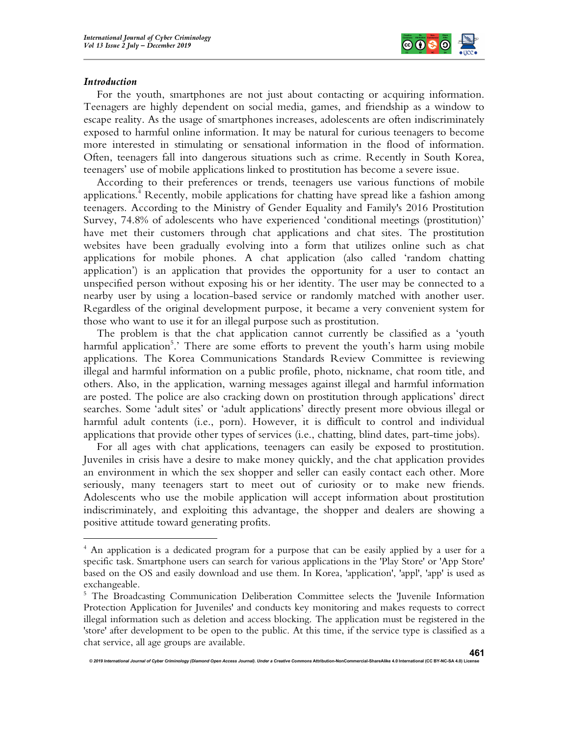

#### Introduction

For the youth, smartphones are not just about contacting or acquiring information. Teenagers are highly dependent on social media, games, and friendship as a window to escape reality. As the usage of smartphones increases, adolescents are often indiscriminately exposed to harmful online information. It may be natural for curious teenagers to become more interested in stimulating or sensational information in the flood of information. Often, teenagers fall into dangerous situations such as crime. Recently in South Korea, teenagers' use of mobile applications linked to prostitution has become a severe issue.

According to their preferences or trends, teenagers use various functions of mobile applications.<sup>4</sup> Recently, mobile applications for chatting have spread like a fashion among teenagers. According to the Ministry of Gender Equality and Family's 2016 Prostitution Survey, 74.8% of adolescents who have experienced 'conditional meetings (prostitution)' have met their customers through chat applications and chat sites. The prostitution websites have been gradually evolving into a form that utilizes online such as chat applications for mobile phones. A chat application (also called 'random chatting application') is an application that provides the opportunity for a user to contact an unspecified person without exposing his or her identity. The user may be connected to a nearby user by using a location-based service or randomly matched with another user. Regardless of the original development purpose, it became a very convenient system for those who want to use it for an illegal purpose such as prostitution.

The problem is that the chat application cannot currently be classified as a 'youth harmful application<sup>5</sup>.' There are some efforts to prevent the youth's harm using mobile applications. The Korea Communications Standards Review Committee is reviewing illegal and harmful information on a public profile, photo, nickname, chat room title, and others. Also, in the application, warning messages against illegal and harmful information are posted. The police are also cracking down on prostitution through applications' direct searches. Some 'adult sites' or 'adult applications' directly present more obvious illegal or harmful adult contents (i.e., porn). However, it is difficult to control and individual applications that provide other types of services (i.e., chatting, blind dates, part-time jobs).

For all ages with chat applications, teenagers can easily be exposed to prostitution. Juveniles in crisis have a desire to make money quickly, and the chat application provides an environment in which the sex shopper and seller can easily contact each other. More seriously, many teenagers start to meet out of curiosity or to make new friends. Adolescents who use the mobile application will accept information about prostitution indiscriminately, and exploiting this advantage, the shopper and dealers are showing a positive attitude toward generating profits.

<sup>&</sup>lt;sup>4</sup> An application is a dedicated program for a purpose that can be easily applied by a user for a specific task. Smartphone users can search for various applications in the 'Play Store' or 'App Store' based on the OS and easily download and use them. In Korea, 'application', 'appl', 'app' is used as exchangeable.

<sup>&</sup>lt;sup>5</sup> The Broadcasting Communication Deliberation Committee selects the 'Juvenile Information Protection Application for Juveniles' and conducts key monitoring and makes requests to correct illegal information such as deletion and access blocking. The application must be registered in the 'store' after development to be open to the public. At this time, if the service type is classified as a chat service, all age groups are available.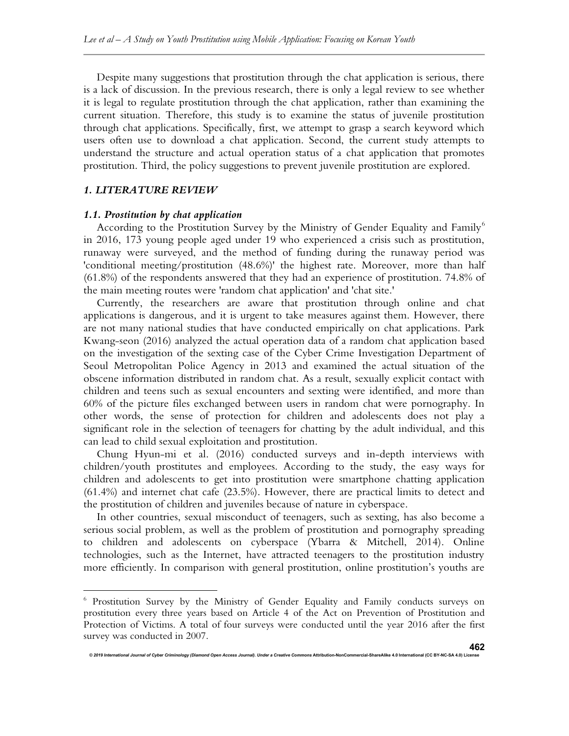Despite many suggestions that prostitution through the chat application is serious, there is a lack of discussion. In the previous research, there is only a legal review to see whether it is legal to regulate prostitution through the chat application, rather than examining the current situation. Therefore, this study is to examine the status of juvenile prostitution through chat applications. Specifically, first, we attempt to grasp a search keyword which users often use to download a chat application. Second, the current study attempts to understand the structure and actual operation status of a chat application that promotes prostitution. Third, the policy suggestions to prevent juvenile prostitution are explored.

## 1. LITERATURE REVIEW

#### 1.1. Prostitution by chat application

According to the Prostitution Survey by the Ministry of Gender Equality and Family<sup>6</sup> in 2016, 173 young people aged under 19 who experienced a crisis such as prostitution, runaway were surveyed, and the method of funding during the runaway period was 'conditional meeting/prostitution (48.6%)' the highest rate. Moreover, more than half (61.8%) of the respondents answered that they had an experience of prostitution. 74.8% of the main meeting routes were 'random chat application' and 'chat site.'

Currently, the researchers are aware that prostitution through online and chat applications is dangerous, and it is urgent to take measures against them. However, there are not many national studies that have conducted empirically on chat applications. Park Kwang-seon (2016) analyzed the actual operation data of a random chat application based on the investigation of the sexting case of the Cyber Crime Investigation Department of Seoul Metropolitan Police Agency in 2013 and examined the actual situation of the obscene information distributed in random chat. As a result, sexually explicit contact with children and teens such as sexual encounters and sexting were identified, and more than 60% of the picture files exchanged between users in random chat were pornography. In other words, the sense of protection for children and adolescents does not play a significant role in the selection of teenagers for chatting by the adult individual, and this can lead to child sexual exploitation and prostitution.

Chung Hyun-mi et al. (2016) conducted surveys and in-depth interviews with children/youth prostitutes and employees. According to the study, the easy ways for children and adolescents to get into prostitution were smartphone chatting application (61.4%) and internet chat cafe (23.5%). However, there are practical limits to detect and the prostitution of children and juveniles because of nature in cyberspace.

In other countries, sexual misconduct of teenagers, such as sexting, has also become a serious social problem, as well as the problem of prostitution and pornography spreading to children and adolescents on cyberspace (Ybarra & Mitchell, 2014). Online technologies, such as the Internet, have attracted teenagers to the prostitution industry more efficiently. In comparison with general prostitution, online prostitution's youths are

ed<br>The Journal of Cyber Criminology (Diamond Open Access Journal). Under a Creative Comm

<sup>6</sup> Prostitution Survey by the Ministry of Gender Equality and Family conducts surveys on prostitution every three years based on Article 4 of the Act on Prevention of Prostitution and Protection of Victims. A total of four surveys were conducted until the year 2016 after the first survey was conducted in 2007.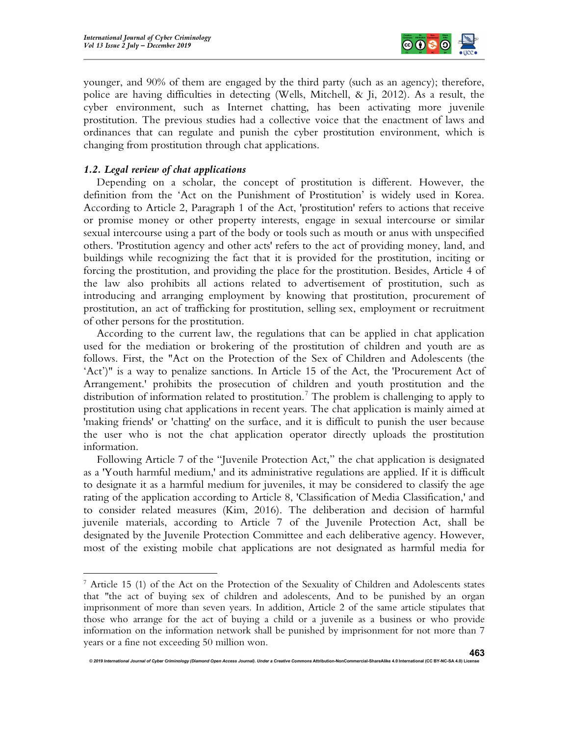

younger, and 90% of them are engaged by the third party (such as an agency); therefore, police are having difficulties in detecting (Wells, Mitchell, & Ji, 2012). As a result, the cyber environment, such as Internet chatting, has been activating more juvenile prostitution. The previous studies had a collective voice that the enactment of laws and ordinances that can regulate and punish the cyber prostitution environment, which is changing from prostitution through chat applications.

## 1.2. Legal review of chat applications

Depending on a scholar, the concept of prostitution is different. However, the definition from the 'Act on the Punishment of Prostitution' is widely used in Korea. According to Article 2, Paragraph 1 of the Act, 'prostitution' refers to actions that receive or promise money or other property interests, engage in sexual intercourse or similar sexual intercourse using a part of the body or tools such as mouth or anus with unspecified others. 'Prostitution agency and other acts' refers to the act of providing money, land, and buildings while recognizing the fact that it is provided for the prostitution, inciting or forcing the prostitution, and providing the place for the prostitution. Besides, Article 4 of the law also prohibits all actions related to advertisement of prostitution, such as introducing and arranging employment by knowing that prostitution, procurement of prostitution, an act of trafficking for prostitution, selling sex, employment or recruitment of other persons for the prostitution.

According to the current law, the regulations that can be applied in chat application used for the mediation or brokering of the prostitution of children and youth are as follows. First, the "Act on the Protection of the Sex of Children and Adolescents (the 'Act')" is a way to penalize sanctions. In Article 15 of the Act, the 'Procurement Act of Arrangement.' prohibits the prosecution of children and youth prostitution and the distribution of information related to prostitution.<sup>7</sup> The problem is challenging to apply to prostitution using chat applications in recent years. The chat application is mainly aimed at 'making friends' or 'chatting' on the surface, and it is difficult to punish the user because the user who is not the chat application operator directly uploads the prostitution information.

Following Article 7 of the "Juvenile Protection Act," the chat application is designated as a 'Youth harmful medium,' and its administrative regulations are applied. If it is difficult to designate it as a harmful medium for juveniles, it may be considered to classify the age rating of the application according to Article 8, 'Classification of Media Classification,' and to consider related measures (Kim, 2016). The deliberation and decision of harmful juvenile materials, according to Article 7 of the Juvenile Protection Act, shall be designated by the Juvenile Protection Committee and each deliberative agency. However, most of the existing mobile chat applications are not designated as harmful media for

<sup>&</sup>lt;sup>7</sup> Article 15 (1) of the Act on the Protection of the Sexuality of Children and Adolescents states that "the act of buying sex of children and adolescents, And to be punished by an organ imprisonment of more than seven years. In addition, Article 2 of the same article stipulates that those who arrange for the act of buying a child or a juvenile as a business or who provide information on the information network shall be punished by imprisonment for not more than 7 years or a fine not exceeding 50 million won.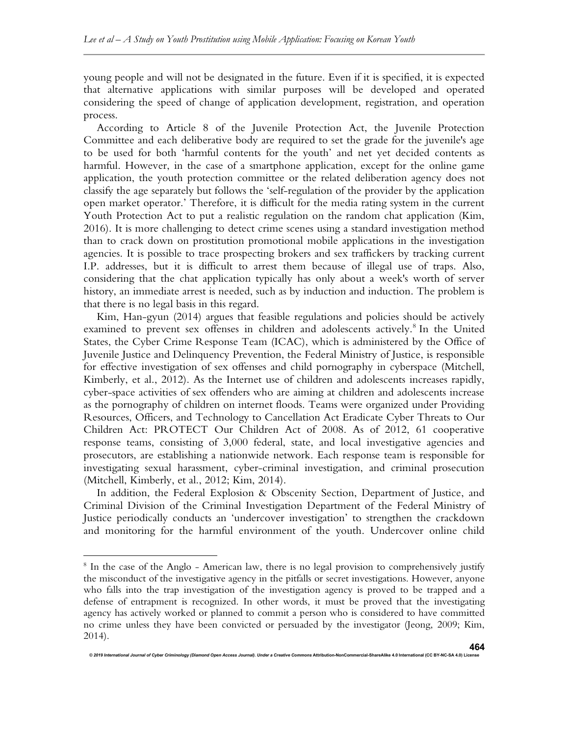young people and will not be designated in the future. Even if it is specified, it is expected that alternative applications with similar purposes will be developed and operated considering the speed of change of application development, registration, and operation process.

According to Article 8 of the Juvenile Protection Act, the Juvenile Protection Committee and each deliberative body are required to set the grade for the juvenile's age to be used for both 'harmful contents for the youth' and net yet decided contents as harmful. However, in the case of a smartphone application, except for the online game application, the youth protection committee or the related deliberation agency does not classify the age separately but follows the 'self-regulation of the provider by the application open market operator.' Therefore, it is difficult for the media rating system in the current Youth Protection Act to put a realistic regulation on the random chat application (Kim, 2016). It is more challenging to detect crime scenes using a standard investigation method than to crack down on prostitution promotional mobile applications in the investigation agencies. It is possible to trace prospecting brokers and sex traffickers by tracking current I.P. addresses, but it is difficult to arrest them because of illegal use of traps. Also, considering that the chat application typically has only about a week's worth of server history, an immediate arrest is needed, such as by induction and induction. The problem is that there is no legal basis in this regard.

Kim, Han-gyun (2014) argues that feasible regulations and policies should be actively examined to prevent sex offenses in children and adolescents actively.<sup>8</sup> In the United States, the Cyber Crime Response Team (ICAC), which is administered by the Office of Juvenile Justice and Delinquency Prevention, the Federal Ministry of Justice, is responsible for effective investigation of sex offenses and child pornography in cyberspace (Mitchell, Kimberly, et al., 2012). As the Internet use of children and adolescents increases rapidly, cyber-space activities of sex offenders who are aiming at children and adolescents increase as the pornography of children on internet floods. Teams were organized under Providing Resources, Officers, and Technology to Cancellation Act Eradicate Cyber Threats to Our Children Act: PROTECT Our Children Act of 2008. As of 2012, 61 cooperative response teams, consisting of 3,000 federal, state, and local investigative agencies and prosecutors, are establishing a nationwide network. Each response team is responsible for investigating sexual harassment, cyber-criminal investigation, and criminal prosecution (Mitchell, Kimberly, et al., 2012; Kim, 2014).

In addition, the Federal Explosion & Obscenity Section, Department of Justice, and Criminal Division of the Criminal Investigation Department of the Federal Ministry of Justice periodically conducts an 'undercover investigation' to strengthen the crackdown and monitoring for the harmful environment of the youth. Undercover online child

onal Journal of Cyber Criminology (Diamond Open Access Journal). Under a Creative Commons Atternation-Noncommer<br>Internation-Noncommercial-ShareAlike 4.0 International (CC By-NC-SA 4.0) Distributional (CC By-NC-SA 4.0) Unit

<sup>&</sup>lt;sup>8</sup> In the case of the Anglo - American law, there is no legal provision to comprehensively justify the misconduct of the investigative agency in the pitfalls or secret investigations. However, anyone who falls into the trap investigation of the investigation agency is proved to be trapped and a defense of entrapment is recognized. In other words, it must be proved that the investigating agency has actively worked or planned to commit a person who is considered to have committed no crime unless they have been convicted or persuaded by the investigator (Jeong, 2009; Kim, 2014).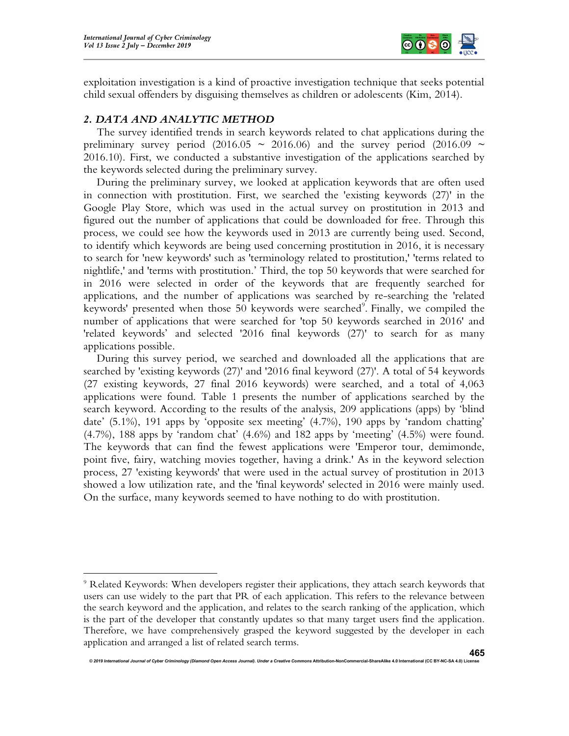

exploitation investigation is a kind of proactive investigation technique that seeks potential child sexual offenders by disguising themselves as children or adolescents (Kim, 2014).

## 2. DATA AND ANALYTIC METHOD

The survey identified trends in search keywords related to chat applications during the preliminary survey period (2016.05  $\sim$  2016.06) and the survey period (2016.09  $\sim$ 2016.10). First, we conducted a substantive investigation of the applications searched by the keywords selected during the preliminary survey.

During the preliminary survey, we looked at application keywords that are often used in connection with prostitution. First, we searched the 'existing keywords (27)' in the Google Play Store, which was used in the actual survey on prostitution in 2013 and figured out the number of applications that could be downloaded for free. Through this process, we could see how the keywords used in 2013 are currently being used. Second, to identify which keywords are being used concerning prostitution in 2016, it is necessary to search for 'new keywords' such as 'terminology related to prostitution,' 'terms related to nightlife,' and 'terms with prostitution.' Third, the top 50 keywords that were searched for in 2016 were selected in order of the keywords that are frequently searched for applications, and the number of applications was searched by re-searching the 'related keywords' presented when those  $50$  keywords were searched<sup>9</sup>. Finally, we compiled the number of applications that were searched for 'top 50 keywords searched in 2016' and 'related keywords' and selected '2016 final keywords (27)' to search for as many applications possible.

During this survey period, we searched and downloaded all the applications that are searched by 'existing keywords (27)' and '2016 final keyword (27)'. A total of 54 keywords (27 existing keywords, 27 final 2016 keywords) were searched, and a total of 4,063 applications were found. Table 1 presents the number of applications searched by the search keyword. According to the results of the analysis, 209 applications (apps) by 'blind date' (5.1%), 191 apps by 'opposite sex meeting' (4.7%), 190 apps by 'random chatting' (4.7%), 188 apps by 'random chat' (4.6%) and 182 apps by 'meeting' (4.5%) were found. The keywords that can find the fewest applications were 'Emperor tour, demimonde, point five, fairy, watching movies together, having a drink.' As in the keyword selection process, 27 'existing keywords' that were used in the actual survey of prostitution in 2013 showed a low utilization rate, and the 'final keywords' selected in 2016 were mainly used. On the surface, many keywords seemed to have nothing to do with prostitution.

<sup>&</sup>lt;sup>9</sup> Related Keywords: When developers register their applications, they attach search keywords that users can use widely to the part that PR of each application. This refers to the relevance between the search keyword and the application, and relates to the search ranking of the application, which is the part of the developer that constantly updates so that many target users find the application. Therefore, we have comprehensively grasped the keyword suggested by the developer in each application and arranged a list of related search terms.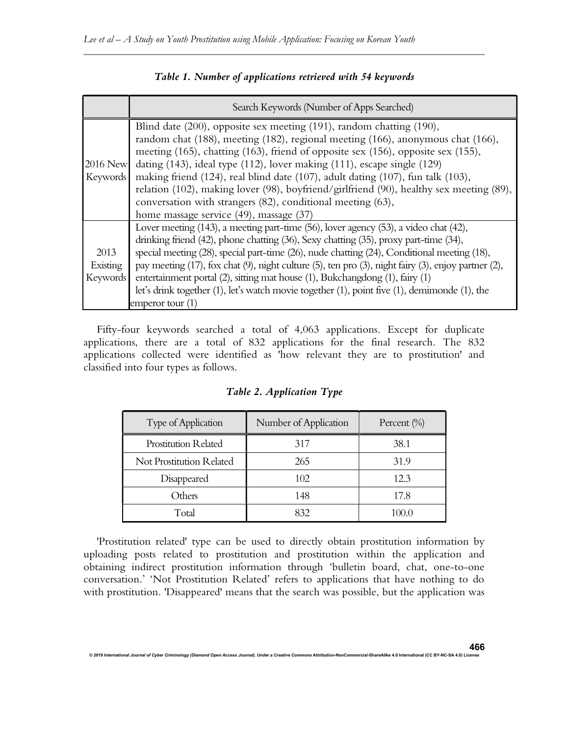|                                     | Search Keywords (Number of Apps Searched)                                                                                                                                                                                                                                                                                                                                                                                                                                                                                                                                                                                  |
|-------------------------------------|----------------------------------------------------------------------------------------------------------------------------------------------------------------------------------------------------------------------------------------------------------------------------------------------------------------------------------------------------------------------------------------------------------------------------------------------------------------------------------------------------------------------------------------------------------------------------------------------------------------------------|
| 2016 New<br>Keywords                | Blind date (200), opposite sex meeting (191), random chatting (190),<br>random chat (188), meeting (182), regional meeting (166), anonymous chat (166),<br>meeting (165), chatting (163), friend of opposite sex (156), opposite sex (155),<br>dating (143), ideal type (112), lover making (111), escape single (129)<br>making friend $(124)$ , real blind date $(107)$ , adult dating $(107)$ , fun talk $(103)$ ,<br>relation (102), making lover (98), boyfriend/girlfriend (90), healthy sex meeting (89),<br>conversation with strangers (82), conditional meeting (63),<br>home massage service (49), massage (37) |
| 2013<br>Existing<br><b>Keywords</b> | Lover meeting (143), a meeting part-time (56), lover agency (53), a video chat (42),<br>drinking friend (42), phone chatting (36), Sexy chatting (35), proxy part-time (34),<br>special meeting (28), special part-time (26), nude chatting (24), Conditional meeting (18),<br>pay meeting $(17)$ , fox chat $(9)$ , night culture $(5)$ , ten pro $(3)$ , night fairy $(3)$ , enjoy partner $(2)$ ,<br>entertainment portal (2), sitting mat house (1), Bukchangdong (1), fairy (1)<br>let's drink together $(1)$ , let's watch movie together $(1)$ , point five $(1)$ , demimonde $(1)$ , the<br>emperor tour (1)       |

# Table 1. Number of applications retrieved with 54 keywords

Fifty-four keywords searched a total of 4,063 applications. Except for duplicate applications, there are a total of 832 applications for the final research. The 832 applications collected were identified as 'how relevant they are to prostitution' and classified into four types as follows.

| Type of Application         | Number of Application | Percent $(\% )$ |
|-----------------------------|-----------------------|-----------------|
| <b>Prostitution Related</b> | 317                   | 38.1            |
| Not Prostitution Related    | 265                   | 31.9            |
| Disappeared                 | 102                   | 12.3            |
| Others                      | 148                   | 17.8            |
| Total                       | 832                   | 100.0           |

## Table 2. Application Type

'Prostitution related' type can be used to directly obtain prostitution information by uploading posts related to prostitution and prostitution within the application and obtaining indirect prostitution information through 'bulletin board, chat, one-to-one conversation.' 'Not Prostitution Related' refers to applications that have nothing to do with prostitution. 'Disappeared' means that the search was possible, but the application was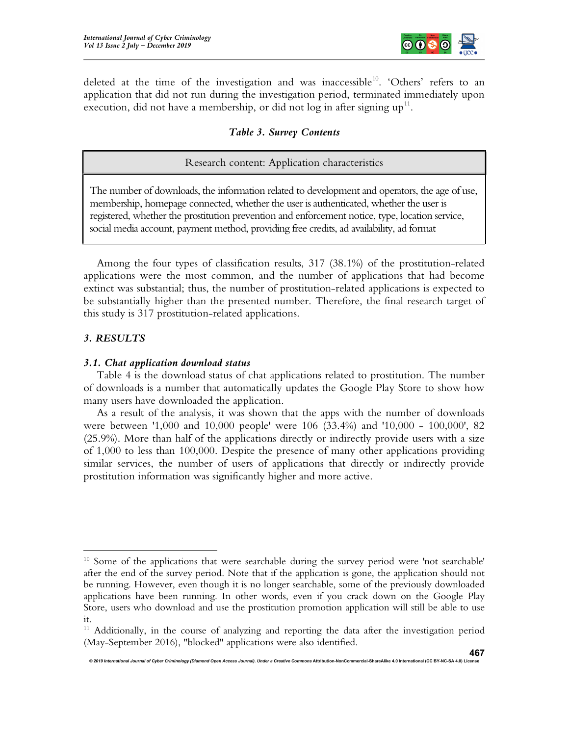

deleted at the time of the investigation and was inaccessible<sup>10</sup>. 'Others' refers to an application that did not run during the investigation period, terminated immediately upon execution, did not have a membership, or did not log in after signing  $up^{11}$ .

## Table 3. Survey Contents

## Research content: Application characteristics

The number of downloads, the information related to development and operators, the age of use, membership, homepage connected, whether the user is authenticated, whether the user is registered, whether the prostitution prevention and enforcement notice, type, location service, social media account, payment method, providing free credits, ad availability, ad format

Among the four types of classification results, 317 (38.1%) of the prostitution-related applications were the most common, and the number of applications that had become extinct was substantial; thus, the number of prostitution-related applications is expected to be substantially higher than the presented number. Therefore, the final research target of this study is 317 prostitution-related applications.

#### 3. RESULTS

#### 3.1. Chat application download status

Table 4 is the download status of chat applications related to prostitution. The number of downloads is a number that automatically updates the Google Play Store to show how many users have downloaded the application.

As a result of the analysis, it was shown that the apps with the number of downloads were between '1,000 and 10,000 people' were 106 (33.4%) and '10,000 - 100,000', 82 (25.9%). More than half of the applications directly or indirectly provide users with a size of 1,000 to less than 100,000. Despite the presence of many other applications providing similar services, the number of users of applications that directly or indirectly provide prostitution information was significantly higher and more active.

<sup>&</sup>lt;sup>10</sup> Some of the applications that were searchable during the survey period were 'not searchable' after the end of the survey period. Note that if the application is gone, the application should not be running. However, even though it is no longer searchable, some of the previously downloaded applications have been running. In other words, even if you crack down on the Google Play Store, users who download and use the prostitution promotion application will still be able to use it.

 $11$  Additionally, in the course of analyzing and reporting the data after the investigation period (May-September 2016), "blocked" applications were also identified.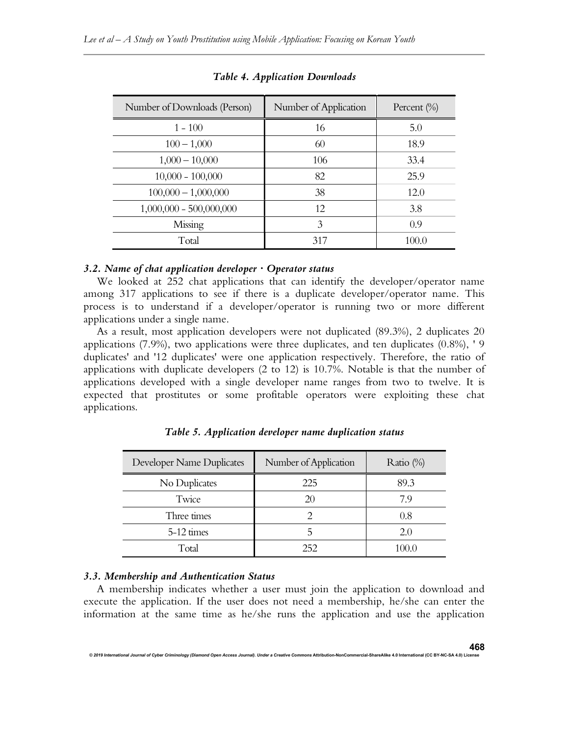| Number of Downloads (Person) | Number of Application | Percent $(\% )$ |
|------------------------------|-----------------------|-----------------|
| $1 - 100$                    | 16                    | 5.0             |
| $100 - 1,000$                | 60                    | 18.9            |
| $1,000 - 10,000$             | 106                   | 33.4            |
| $10,000 - 100,000$           | 82                    | 25.9            |
| $100,000 - 1,000,000$        | 38                    | 12.0            |
| $1,000,000 - 500,000,000$    | 12                    | 3.8             |
| Missing                      | 3                     | 0.9             |
| Total                        | 317                   | 100.0           |

Table 4. Application Downloads

#### 3.2. Name of chat application developer  $\cdot$  Operator status

We looked at 252 chat applications that can identify the developer/operator name among 317 applications to see if there is a duplicate developer/operator name. This process is to understand if a developer/operator is running two or more different applications under a single name.

As a result, most application developers were not duplicated (89.3%), 2 duplicates 20 applications (7.9%), two applications were three duplicates, and ten duplicates (0.8%), ' 9 duplicates' and '12 duplicates' were one application respectively. Therefore, the ratio of applications with duplicate developers (2 to 12) is 10.7%. Notable is that the number of applications developed with a single developer name ranges from two to twelve. It is expected that prostitutes or some profitable operators were exploiting these chat applications.

| Developer Name Duplicates | Number of Application | Ratio $(\%)$ |
|---------------------------|-----------------------|--------------|
| No Duplicates             | 225                   | 89.3         |
| Twice                     | 20                    | 7.9          |
| Three times               |                       | 0.8          |
| 5-12 times                |                       | 2.0          |
| Total                     | 252                   | 100.0        |

Table 5. Application developer name duplication status

## 3.3. Membership and Authentication Status

A membership indicates whether a user must join the application to download and execute the application. If the user does not need a membership, he/she can enter the information at the same time as he/she runs the application and use the application

© 2019 International Journal of Cyber Criminology (Diamond Open Access Journal). Under a Creative Commons Attribution-NonCommercial-ShareAlike 4.0 Interna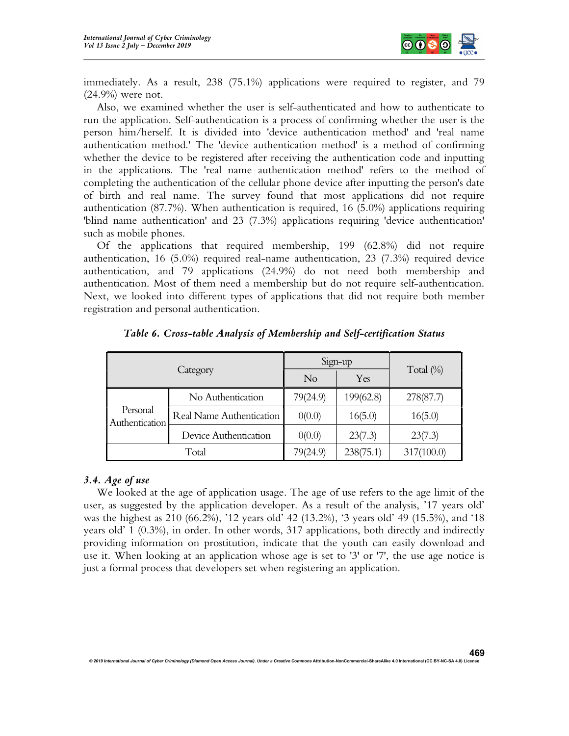

immediately. As a result, 238 (75.1%) applications were required to register, and 79 (24.9%) were not.

Also, we examined whether the user is self-authenticated and how to authenticate to run the application. Self-authentication is a process of confirming whether the user is the person him/herself. It is divided into 'device authentication method' and 'real name authentication method.' The 'device authentication method' is a method of confirming whether the device to be registered after receiving the authentication code and inputting in the applications. The 'real name authentication method' refers to the method of completing the authentication of the cellular phone device after inputting the person's date of birth and real name. The survey found that most applications did not require authentication (87.7%). When authentication is required, 16 (5.0%) applications requiring 'blind name authentication' and 23 (7.3%) applications requiring 'device authentication' such as mobile phones.

Of the applications that required membership, 199 (62.8%) did not require authentication, 16 (5.0%) required real-name authentication, 23 (7.3%) required device authentication, and 79 applications (24.9%) do not need both membership and authentication. Most of them need a membership but do not require self-authentication. Next, we looked into different types of applications that did not require both member registration and personal authentication.

|                            |                          |          | Sign-up   | Total (%)  |  |
|----------------------------|--------------------------|----------|-----------|------------|--|
| Category                   |                          | $\rm No$ | Yes       |            |  |
|                            | No Authentication        | 79(24.9) | 199(62.8) | 278(87.7)  |  |
| Personal<br>Authentication | Real Name Authentication | 0(0.0)   | 16(5.0)   | 16(5.0)    |  |
|                            | Device Authentication    | 0(0.0)   | 23(7.3)   | 23(7.3)    |  |
|                            | Total                    | 79(24.9) | 238(75.1) | 317(100.0) |  |

Table 6. Cross-table Analysis of Membership and Self-certification Status

## 3.4. Age of use

We looked at the age of application usage. The age of use refers to the age limit of the user, as suggested by the application developer. As a result of the analysis, '17 years old' was the highest as 210 (66.2%), '12 years old' 42 (13.2%), '3 years old' 49 (15.5%), and '18 years old' 1 (0.3%), in order. In other words, 317 applications, both directly and indirectly providing information on prostitution, indicate that the youth can easily download and use it. When looking at an application whose age is set to '3' or '7', the use age notice is just a formal process that developers set when registering an application.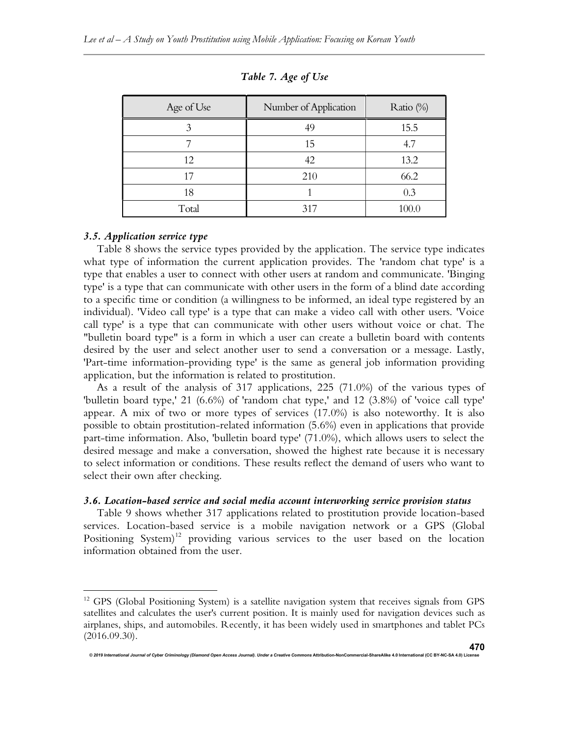| Age of Use | Number of Application | Ratio (%) |
|------------|-----------------------|-----------|
|            | 49                    | 15.5      |
|            | 15                    | 4.7       |
| 12         | 42                    | 13.2      |
| 17         | 210                   | 66.2      |
| 18         |                       | 0.3       |
| Total      | 317                   | 100.0     |

Table 7. Age of Use

## 3.5. Application service type

Table 8 shows the service types provided by the application. The service type indicates what type of information the current application provides. The 'random chat type' is a type that enables a user to connect with other users at random and communicate. 'Binging type' is a type that can communicate with other users in the form of a blind date according to a specific time or condition (a willingness to be informed, an ideal type registered by an individual). 'Video call type' is a type that can make a video call with other users. 'Voice call type' is a type that can communicate with other users without voice or chat. The "bulletin board type" is a form in which a user can create a bulletin board with contents desired by the user and select another user to send a conversation or a message. Lastly, 'Part-time information-providing type' is the same as general job information providing application, but the information is related to prostitution.

As a result of the analysis of 317 applications, 225 (71.0%) of the various types of 'bulletin board type,' 21 (6.6%) of 'random chat type,' and 12 (3.8%) of 'voice call type' appear. A mix of two or more types of services (17.0%) is also noteworthy. It is also possible to obtain prostitution-related information (5.6%) even in applications that provide part-time information. Also, 'bulletin board type' (71.0%), which allows users to select the desired message and make a conversation, showed the highest rate because it is necessary to select information or conditions. These results reflect the demand of users who want to select their own after checking.

## 3.6. Location-based service and social media account interworking service provision status

Table 9 shows whether 317 applications related to prostitution provide location-based services. Location-based service is a mobile navigation network or a GPS (Global Positioning System)<sup>12</sup> providing various services to the user based on the location information obtained from the user.

e<br>International Diamond Criminology (Diamond Open Access Journal). Under a Creative Cont

<sup>&</sup>lt;sup>12</sup> GPS (Global Positioning System) is a satellite navigation system that receives signals from GPS satellites and calculates the user's current position. It is mainly used for navigation devices such as airplanes, ships, and automobiles. Recently, it has been widely used in smartphones and tablet PCs (2016.09.30).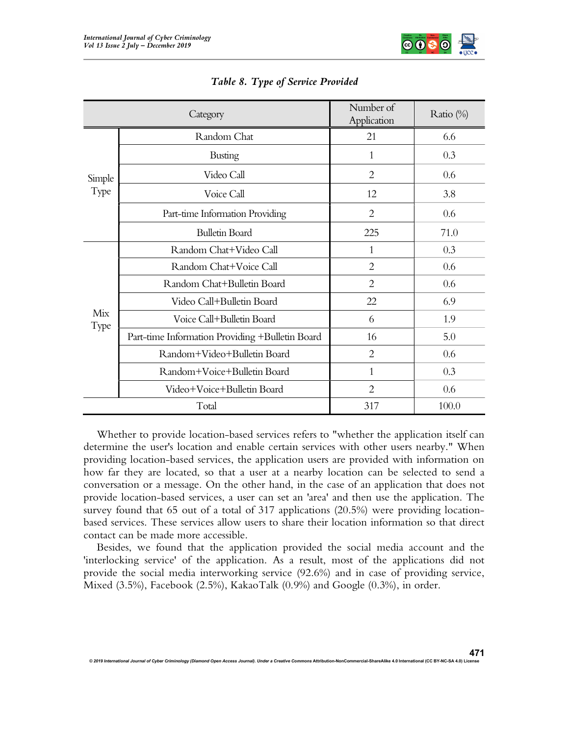

| Category    |                                                 | Number of<br>Application | Ratio (%) |  |
|-------------|-------------------------------------------------|--------------------------|-----------|--|
|             | Random Chat                                     | 21                       | 6.6       |  |
|             | <b>Busting</b>                                  | 1                        | 0.3       |  |
| Simple      | Video Call                                      | $\overline{2}$           | 0.6       |  |
| Type        | Voice Call                                      | 12                       | 3.8       |  |
|             | Part-time Information Providing                 | $\overline{2}$           | 0.6       |  |
|             | <b>Bulletin Board</b>                           | 225                      | 71.0      |  |
|             | Random Chat+Video Call                          | 1                        | 0.3       |  |
|             | Random Chat+Voice Call                          | $\overline{2}$           | 0.6       |  |
|             | Random Chat+Bulletin Board                      | $\overline{2}$           | 0.6       |  |
|             | Video Call+Bulletin Board                       | 22                       | 6.9       |  |
| Mix<br>Type | Voice Call+Bulletin Board                       | 6                        | 1.9       |  |
|             | Part-time Information Providing +Bulletin Board | 16                       | 5.0       |  |
|             | Random+Video+Bulletin Board                     | 2                        | 0.6       |  |
|             | Random+Voice+Bulletin Board                     | 1                        | 0.3       |  |
|             | Video+Voice+Bulletin Board                      | $\overline{2}$           | 0.6       |  |
|             | Total                                           | 317                      | 100.0     |  |

## Table 8. Type of Service Provided

Whether to provide location-based services refers to "whether the application itself can determine the user's location and enable certain services with other users nearby." When providing location-based services, the application users are provided with information on how far they are located, so that a user at a nearby location can be selected to send a conversation or a message. On the other hand, in the case of an application that does not provide location-based services, a user can set an 'area' and then use the application. The survey found that 65 out of a total of 317 applications (20.5%) were providing locationbased services. These services allow users to share their location information so that direct contact can be made more accessible.

Besides, we found that the application provided the social media account and the 'interlocking service' of the application. As a result, most of the applications did not provide the social media interworking service (92.6%) and in case of providing service, Mixed  $(3.5\%)$ , Facebook  $(2.5\%)$ , KakaoTalk  $(0.9\%)$  and Google  $(0.3\%)$ , in order.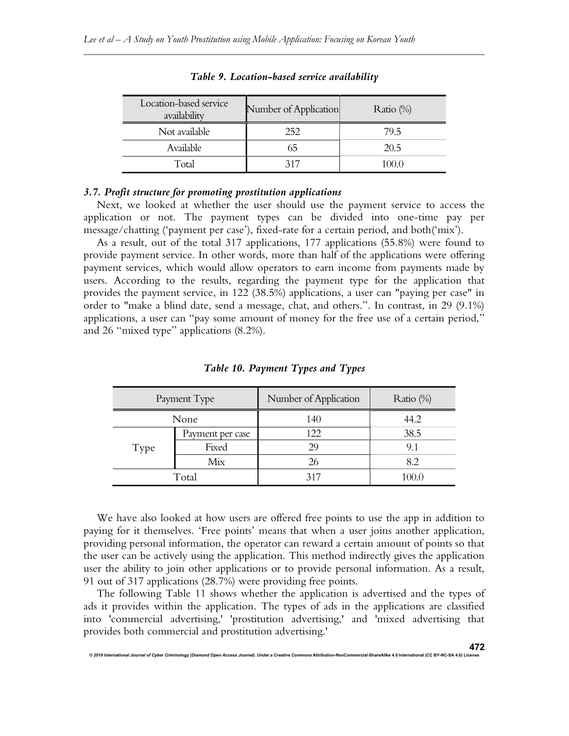| Location-based service<br>availability | Number of Application | Ratio $(\%)$ |
|----------------------------------------|-----------------------|--------------|
| Not available                          | 252                   | 79.5         |
| Available                              | 65                    | 20.5         |
| Total                                  | 317                   | 100.0        |

Table 9. Location-based service availability

## 3.7. Profit structure for promoting prostitution applications

Next, we looked at whether the user should use the payment service to access the application or not. The payment types can be divided into one-time pay per message/chatting ('payment per case'), fixed-rate for a certain period, and both('mix').

As a result, out of the total 317 applications, 177 applications (55.8%) were found to provide payment service. In other words, more than half of the applications were offering payment services, which would allow operators to earn income from payments made by users. According to the results, regarding the payment type for the application that provides the payment service, in 122 (38.5%) applications, a user can "paying per case" in order to "make a blind date, send a message, chat, and others.". In contrast, in 29 (9.1%) applications, a user can "pay some amount of money for the free use of a certain period," and 26 "mixed type" applications (8.2%).

| Payment Type |                  | Number of Application | Ratio $(\%)$ |
|--------------|------------------|-----------------------|--------------|
| None         |                  | 140                   | 44.2         |
|              | Payment per case | 122                   | 38.5         |
| Type         | Fixed            | 29                    | 9.1          |
|              | Mix              | 26                    |              |
| Total        |                  | 317                   | 100.0        |

Table 10. Payment Types and Types

We have also looked at how users are offered free points to use the app in addition to paying for it themselves. 'Free points' means that when a user joins another application, providing personal information, the operator can reward a certain amount of points so that the user can be actively using the application. This method indirectly gives the application user the ability to join other applications or to provide personal information. As a result, 91 out of 317 applications (28.7%) were providing free points.

The following Table 11 shows whether the application is advertised and the types of ads it provides within the application. The types of ads in the applications are classified into 'commercial advertising,' 'prostitution advertising,' and 'mixed advertising that provides both commercial and prostitution advertising.'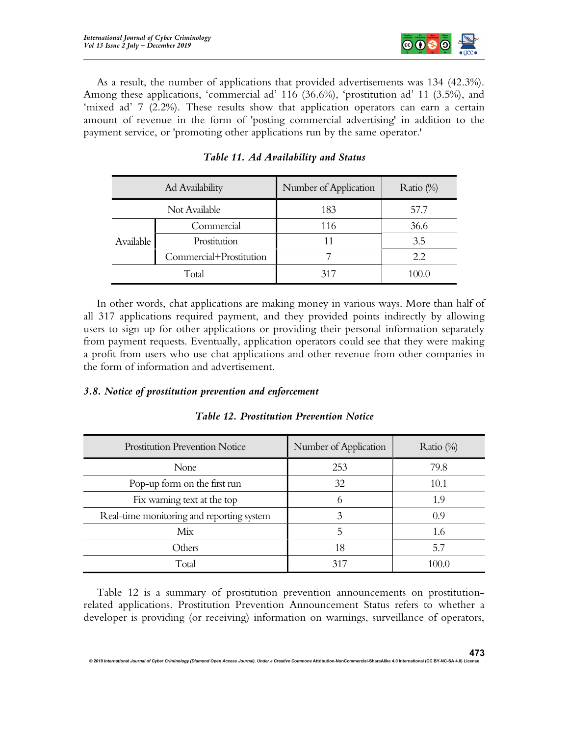

As a result, the number of applications that provided advertisements was 134 (42.3%). Among these applications, 'commercial ad' 116 (36.6%), 'prostitution ad' 11 (3.5%), and 'mixed ad' 7 (2.2%). These results show that application operators can earn a certain amount of revenue in the form of 'posting commercial advertising' in addition to the payment service, or 'promoting other applications run by the same operator.'

| Ad Availability |                         | Number of Application | Ratio $(\%)$ |
|-----------------|-------------------------|-----------------------|--------------|
| Not Available   |                         | 183                   | 57.7         |
|                 | Commercial              | 116                   | 36.6         |
| Available       | Prostitution            |                       | 3.5          |
|                 | Commercial+Prostitution |                       | 2.2          |
| Total           |                         | 317                   | 100.0        |

Table 11. Ad Availability and Status

In other words, chat applications are making money in various ways. More than half of all 317 applications required payment, and they provided points indirectly by allowing users to sign up for other applications or providing their personal information separately from payment requests. Eventually, application operators could see that they were making a profit from users who use chat applications and other revenue from other companies in the form of information and advertisement.

## 3.8. Notice of prostitution prevention and enforcement

| Prostitution Prevention Notice            | Number of Application | Ratio $(\%)$ |
|-------------------------------------------|-----------------------|--------------|
| None                                      | 253                   | 79.8         |
| Pop-up form on the first run              | 32                    | 10.1         |
| Fix warning text at the top               |                       | 1.9          |
| Real-time monitoring and reporting system |                       | 0.9          |
| Mix                                       |                       | 1.6          |
| Others                                    | 18                    | 5.7          |
| Total                                     | 317                   | 100.0        |

Table 12. Prostitution Prevention Notice

Table 12 is a summary of prostitution prevention announcements on prostitutionrelated applications. Prostitution Prevention Announcement Status refers to whether a developer is providing (or receiving) information on warnings, surveillance of operators,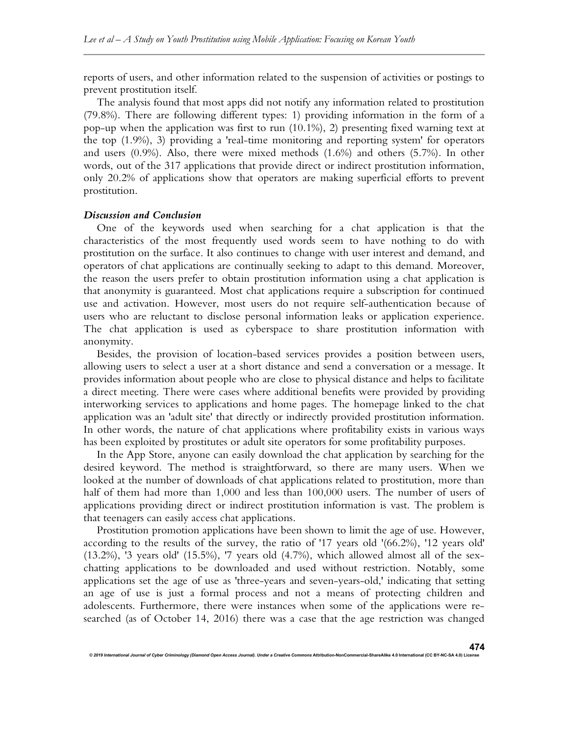reports of users, and other information related to the suspension of activities or postings to prevent prostitution itself.

The analysis found that most apps did not notify any information related to prostitution (79.8%). There are following different types: 1) providing information in the form of a pop-up when the application was first to run (10.1%), 2) presenting fixed warning text at the top (1.9%), 3) providing a 'real-time monitoring and reporting system' for operators and users (0.9%). Also, there were mixed methods (1.6%) and others (5.7%). In other words, out of the 317 applications that provide direct or indirect prostitution information, only 20.2% of applications show that operators are making superficial efforts to prevent prostitution.

#### Discussion and Conclusion

One of the keywords used when searching for a chat application is that the characteristics of the most frequently used words seem to have nothing to do with prostitution on the surface. It also continues to change with user interest and demand, and operators of chat applications are continually seeking to adapt to this demand. Moreover, the reason the users prefer to obtain prostitution information using a chat application is that anonymity is guaranteed. Most chat applications require a subscription for continued use and activation. However, most users do not require self-authentication because of users who are reluctant to disclose personal information leaks or application experience. The chat application is used as cyberspace to share prostitution information with anonymity.

Besides, the provision of location-based services provides a position between users, allowing users to select a user at a short distance and send a conversation or a message. It provides information about people who are close to physical distance and helps to facilitate a direct meeting. There were cases where additional benefits were provided by providing interworking services to applications and home pages. The homepage linked to the chat application was an 'adult site' that directly or indirectly provided prostitution information. In other words, the nature of chat applications where profitability exists in various ways has been exploited by prostitutes or adult site operators for some profitability purposes.

In the App Store, anyone can easily download the chat application by searching for the desired keyword. The method is straightforward, so there are many users. When we looked at the number of downloads of chat applications related to prostitution, more than half of them had more than 1,000 and less than 100,000 users. The number of users of applications providing direct or indirect prostitution information is vast. The problem is that teenagers can easily access chat applications.

Prostitution promotion applications have been shown to limit the age of use. However, according to the results of the survey, the ratio of '17 years old '(66.2%), '12 years old' (13.2%), '3 years old' (15.5%), '7 years old (4.7%), which allowed almost all of the sexchatting applications to be downloaded and used without restriction. Notably, some applications set the age of use as 'three-years and seven-years-old,' indicating that setting an age of use is just a formal process and not a means of protecting children and adolescents. Furthermore, there were instances when some of the applications were researched (as of October 14, 2016) there was a case that the age restriction was changed

© 2019 International Journal of Cyber Criminology (Diamond Open Access Journal). Under a Creative Com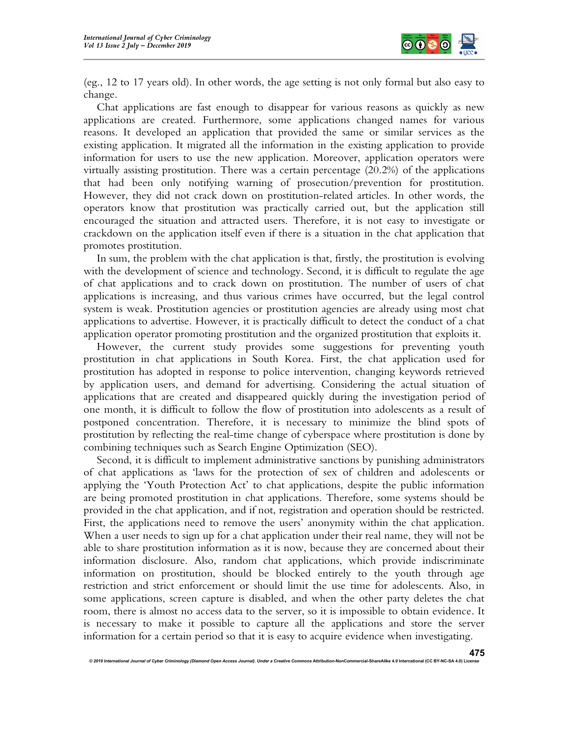

(eg., 12 to 17 years old). In other words, the age setting is not only formal but also easy to change.

Chat applications are fast enough to disappear for various reasons as quickly as new applications are created. Furthermore, some applications changed names for various reasons. It developed an application that provided the same or similar services as the existing application. It migrated all the information in the existing application to provide information for users to use the new application. Moreover, application operators were virtually assisting prostitution. There was a certain percentage (20.2%) of the applications that had been only notifying warning of prosecution/prevention for prostitution. However, they did not crack down on prostitution-related articles. In other words, the operators know that prostitution was practically carried out, but the application still encouraged the situation and attracted users. Therefore, it is not easy to investigate or crackdown on the application itself even if there is a situation in the chat application that promotes prostitution.

In sum, the problem with the chat application is that, firstly, the prostitution is evolving with the development of science and technology. Second, it is difficult to regulate the age of chat applications and to crack down on prostitution. The number of users of chat applications is increasing, and thus various crimes have occurred, but the legal control system is weak. Prostitution agencies or prostitution agencies are already using most chat applications to advertise. However, it is practically difficult to detect the conduct of a chat application operator promoting prostitution and the organized prostitution that exploits it.

However, the current study provides some suggestions for preventing youth prostitution in chat applications in South Korea. First, the chat application used for prostitution has adopted in response to police intervention, changing keywords retrieved by application users, and demand for advertising. Considering the actual situation of applications that are created and disappeared quickly during the investigation period of one month, it is difficult to follow the flow of prostitution into adolescents as a result of postponed concentration. Therefore, it is necessary to minimize the blind spots of prostitution by reflecting the real-time change of cyberspace where prostitution is done by combining techniques such as Search Engine Optimization (SEO).

Second, it is difficult to implement administrative sanctions by punishing administrators of chat applications as 'laws for the protection of sex of children and adolescents or applying the 'Youth Protection Act' to chat applications, despite the public information are being promoted prostitution in chat applications. Therefore, some systems should be provided in the chat application, and if not, registration and operation should be restricted. First, the applications need to remove the users' anonymity within the chat application. When a user needs to sign up for a chat application under their real name, they will not be able to share prostitution information as it is now, because they are concerned about their information disclosure. Also, random chat applications, which provide indiscriminate information on prostitution, should be blocked entirely to the youth through age restriction and strict enforcement or should limit the use time for adolescents. Also, in some applications, screen capture is disabled, and when the other party deletes the chat room, there is almost no access data to the server, so it is impossible to obtain evidence. It is necessary to make it possible to capture all the applications and store the server information for a certain period so that it is easy to acquire evidence when investigating.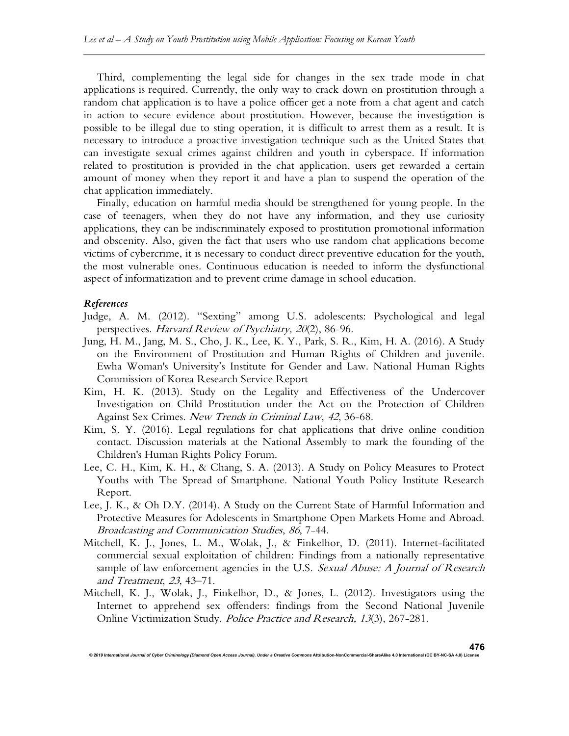Third, complementing the legal side for changes in the sex trade mode in chat applications is required. Currently, the only way to crack down on prostitution through a random chat application is to have a police officer get a note from a chat agent and catch in action to secure evidence about prostitution. However, because the investigation is possible to be illegal due to sting operation, it is difficult to arrest them as a result. It is necessary to introduce a proactive investigation technique such as the United States that can investigate sexual crimes against children and youth in cyberspace. If information related to prostitution is provided in the chat application, users get rewarded a certain amount of money when they report it and have a plan to suspend the operation of the chat application immediately.

Finally, education on harmful media should be strengthened for young people. In the case of teenagers, when they do not have any information, and they use curiosity applications, they can be indiscriminately exposed to prostitution promotional information and obscenity. Also, given the fact that users who use random chat applications become victims of cybercrime, it is necessary to conduct direct preventive education for the youth, the most vulnerable ones. Continuous education is needed to inform the dysfunctional aspect of informatization and to prevent crime damage in school education.

#### References

- Judge, A. M. (2012). "Sexting" among U.S. adolescents: Psychological and legal perspectives. Harvard Review of Psychiatry, 20(2), 86-96.
- Jung, H. M., Jang, M. S., Cho, J. K., Lee, K. Y., Park, S. R., Kim, H. A. (2016). A Study on the Environment of Prostitution and Human Rights of Children and juvenile. Ewha Woman's University's Institute for Gender and Law. National Human Rights Commission of Korea Research Service Report
- Kim, H. K. (2013). Study on the Legality and Effectiveness of the Undercover Investigation on Child Prostitution under the Act on the Protection of Children Against Sex Crimes. New Trends in Criminal Law, 42, 36-68.
- Kim, S. Y. (2016). Legal regulations for chat applications that drive online condition contact. Discussion materials at the National Assembly to mark the founding of the Children's Human Rights Policy Forum.
- Lee, C. H., Kim, K. H., & Chang, S. A. (2013). A Study on Policy Measures to Protect Youths with The Spread of Smartphone. National Youth Policy Institute Research Report.
- Lee, J. K., & Oh D.Y. (2014). A Study on the Current State of Harmful Information and Protective Measures for Adolescents in Smartphone Open Markets Home and Abroad. Broadcasting and Communication Studies, 86, 7-44.
- Mitchell, K. J., Jones, L. M., Wolak, J., & Finkelhor, D. (2011). Internet-facilitated commercial sexual exploitation of children: Findings from a nationally representative sample of law enforcement agencies in the U.S. Sexual Abuse: A Journal of Research and Treatment, 23, 43–71.
- Mitchell, K. J., Wolak, J., Finkelhor, D., & Jones, L. (2012). Investigators using the Internet to apprehend sex offenders: findings from the Second National Juvenile Online Victimization Study. Police Practice and Research, 13(3), 267-281.

© 2019 International Journal of Cyber Criminology (Diamond Open Access Journal). Under a Creative Con